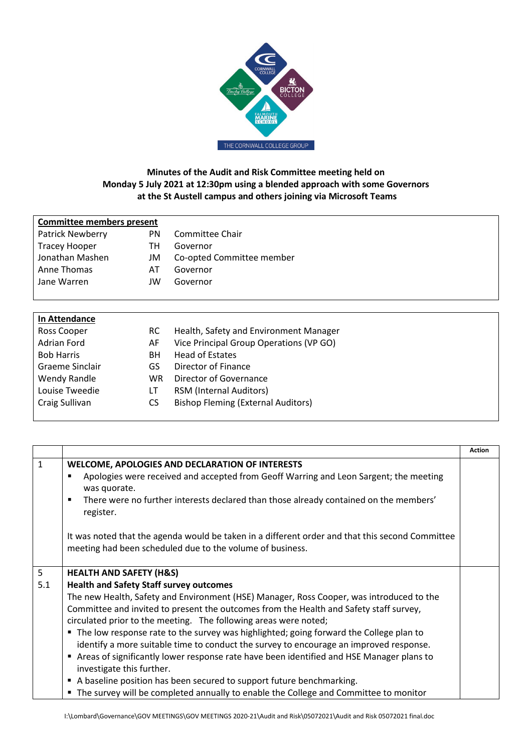

## **Minutes of the Audit and Risk Committee meeting held on Monday 5 July 2021 at 12:30pm using a blended approach with some Governors at the St Austell campus and others joining via Microsoft Teams**

| Committee members present |    |                           |  |
|---------------------------|----|---------------------------|--|
| <b>Patrick Newberry</b>   | PN | Committee Chair           |  |
| <b>Tracey Hooper</b>      | тн | Governor                  |  |
| Jonathan Mashen           | JM | Co-opted Committee member |  |
| Anne Thomas               | ΑI | Governor                  |  |
| Jane Warren               | JW | Governor                  |  |
|                           |    |                           |  |

| In Attendance     |           |                                           |
|-------------------|-----------|-------------------------------------------|
| Ross Cooper       | RC.       | Health, Safety and Environment Manager    |
| Adrian Ford       | AF        | Vice Principal Group Operations (VP GO)   |
| <b>Bob Harris</b> | BН        | <b>Head of Estates</b>                    |
| Graeme Sinclair   | GS        | Director of Finance                       |
| Wendy Randle      | <b>WR</b> | Director of Governance                    |
| Louise Tweedie    | LI        | <b>RSM (Internal Auditors)</b>            |
| Craig Sullivan    | CS        | <b>Bishop Fleming (External Auditors)</b> |
|                   |           |                                           |

|     |                                                                                                                                                              | <b>Action</b> |
|-----|--------------------------------------------------------------------------------------------------------------------------------------------------------------|---------------|
| 1   | <b>WELCOME, APOLOGIES AND DECLARATION OF INTERESTS</b>                                                                                                       |               |
|     | Apologies were received and accepted from Geoff Warring and Leon Sargent; the meeting<br>٠<br>was quorate.                                                   |               |
|     | There were no further interests declared than those already contained on the members'<br>٠<br>register.                                                      |               |
|     | It was noted that the agenda would be taken in a different order and that this second Committee<br>meeting had been scheduled due to the volume of business. |               |
| 5   | <b>HEALTH AND SAFETY (H&amp;S)</b>                                                                                                                           |               |
| 5.1 | <b>Health and Safety Staff survey outcomes</b>                                                                                                               |               |
|     | The new Health, Safety and Environment (HSE) Manager, Ross Cooper, was introduced to the                                                                     |               |
|     | Committee and invited to present the outcomes from the Health and Safety staff survey,                                                                       |               |
|     | circulated prior to the meeting. The following areas were noted;                                                                                             |               |
|     | The low response rate to the survey was highlighted; going forward the College plan to                                                                       |               |
|     | identify a more suitable time to conduct the survey to encourage an improved response.                                                                       |               |
|     | Areas of significantly lower response rate have been identified and HSE Manager plans to                                                                     |               |
|     | investigate this further.                                                                                                                                    |               |
|     | A baseline position has been secured to support future benchmarking.                                                                                         |               |
|     | The survey will be completed annually to enable the College and Committee to monitor                                                                         |               |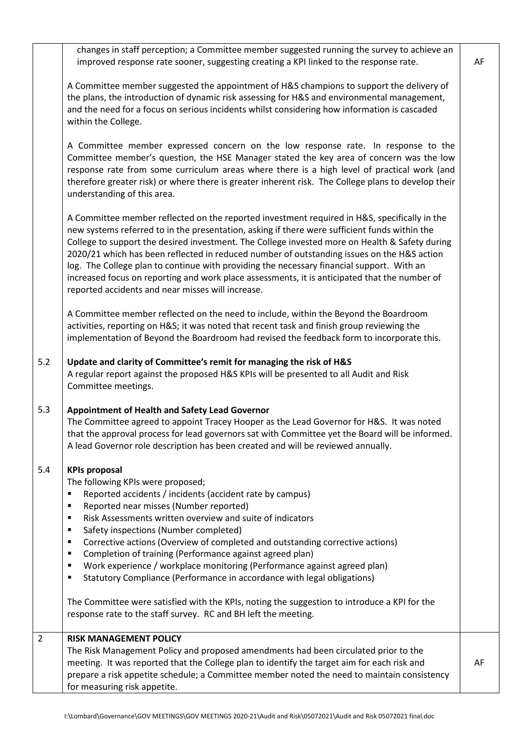|                | changes in staff perception; a Committee member suggested running the survey to achieve an<br>improved response rate sooner, suggesting creating a KPI linked to the response rate.                                                                                                                                                                                                                                                                                                                                                                                                                                                              | AF |
|----------------|--------------------------------------------------------------------------------------------------------------------------------------------------------------------------------------------------------------------------------------------------------------------------------------------------------------------------------------------------------------------------------------------------------------------------------------------------------------------------------------------------------------------------------------------------------------------------------------------------------------------------------------------------|----|
|                | A Committee member suggested the appointment of H&S champions to support the delivery of<br>the plans, the introduction of dynamic risk assessing for H&S and environmental management,<br>and the need for a focus on serious incidents whilst considering how information is cascaded<br>within the College.                                                                                                                                                                                                                                                                                                                                   |    |
|                | A Committee member expressed concern on the low response rate. In response to the<br>Committee member's question, the HSE Manager stated the key area of concern was the low<br>response rate from some curriculum areas where there is a high level of practical work (and<br>therefore greater risk) or where there is greater inherent risk. The College plans to develop their<br>understanding of this area.                                                                                                                                                                                                                                |    |
|                | A Committee member reflected on the reported investment required in H&S, specifically in the<br>new systems referred to in the presentation, asking if there were sufficient funds within the<br>College to support the desired investment. The College invested more on Health & Safety during<br>2020/21 which has been reflected in reduced number of outstanding issues on the H&S action<br>log. The College plan to continue with providing the necessary financial support. With an<br>increased focus on reporting and work place assessments, it is anticipated that the number of<br>reported accidents and near misses will increase. |    |
|                | A Committee member reflected on the need to include, within the Beyond the Boardroom<br>activities, reporting on H&S it was noted that recent task and finish group reviewing the<br>implementation of Beyond the Boardroom had revised the feedback form to incorporate this.                                                                                                                                                                                                                                                                                                                                                                   |    |
| 5.2            | Update and clarity of Committee's remit for managing the risk of H&S<br>A regular report against the proposed H&S KPIs will be presented to all Audit and Risk<br>Committee meetings.                                                                                                                                                                                                                                                                                                                                                                                                                                                            |    |
| 5.3            | Appointment of Health and Safety Lead Governor<br>The Committee agreed to appoint Tracey Hooper as the Lead Governor for H&S. It was noted<br>that the approval process for lead governors sat with Committee yet the Board will be informed.<br>A lead Governor role description has been created and will be reviewed annually.                                                                                                                                                                                                                                                                                                                |    |
| 5.4            | <b>KPIs proposal</b><br>The following KPIs were proposed;<br>Reported accidents / incidents (accident rate by campus)<br>٠<br>Reported near misses (Number reported)<br>٠<br>Risk Assessments written overview and suite of indicators<br>٠<br>Safety inspections (Number completed)<br>٠<br>Corrective actions (Overview of completed and outstanding corrective actions)<br>٠<br>Completion of training (Performance against agreed plan)<br>п<br>Work experience / workplace monitoring (Performance against agreed plan)<br>$\blacksquare$<br>Statutory Compliance (Performance in accordance with legal obligations)<br>п                   |    |
|                | The Committee were satisfied with the KPIs, noting the suggestion to introduce a KPI for the<br>response rate to the staff survey. RC and BH left the meeting.                                                                                                                                                                                                                                                                                                                                                                                                                                                                                   |    |
| $\overline{2}$ | <b>RISK MANAGEMENT POLICY</b><br>The Risk Management Policy and proposed amendments had been circulated prior to the<br>meeting. It was reported that the College plan to identify the target aim for each risk and<br>prepare a risk appetite schedule; a Committee member noted the need to maintain consistency<br>for measuring risk appetite.                                                                                                                                                                                                                                                                                               | AF |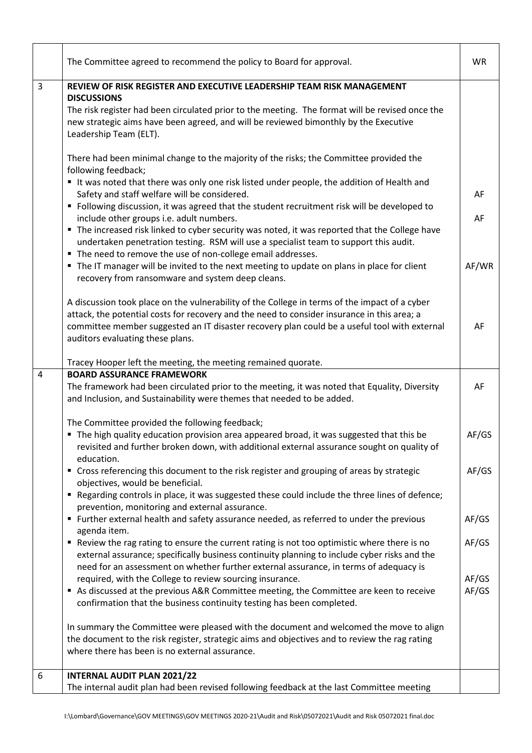|                | The Committee agreed to recommend the policy to Board for approval.                                                                                                                                                                                                                                                              | <b>WR</b>      |
|----------------|----------------------------------------------------------------------------------------------------------------------------------------------------------------------------------------------------------------------------------------------------------------------------------------------------------------------------------|----------------|
| 3              | REVIEW OF RISK REGISTER AND EXECUTIVE LEADERSHIP TEAM RISK MANAGEMENT                                                                                                                                                                                                                                                            |                |
|                | <b>DISCUSSIONS</b><br>The risk register had been circulated prior to the meeting. The format will be revised once the<br>new strategic aims have been agreed, and will be reviewed bimonthly by the Executive<br>Leadership Team (ELT).                                                                                          |                |
|                | There had been minimal change to the majority of the risks; the Committee provided the<br>following feedback;<br>It was noted that there was only one risk listed under people, the addition of Health and                                                                                                                       |                |
|                | Safety and staff welfare will be considered.<br>" Following discussion, it was agreed that the student recruitment risk will be developed to                                                                                                                                                                                     | AF             |
|                | include other groups i.e. adult numbers.<br>" The increased risk linked to cyber security was noted, it was reported that the College have<br>undertaken penetration testing. RSM will use a specialist team to support this audit.<br>" The need to remove the use of non-college email addresses.                              | AF             |
|                | " The IT manager will be invited to the next meeting to update on plans in place for client<br>recovery from ransomware and system deep cleans.                                                                                                                                                                                  | AF/WR          |
|                | A discussion took place on the vulnerability of the College in terms of the impact of a cyber<br>attack, the potential costs for recovery and the need to consider insurance in this area; a<br>committee member suggested an IT disaster recovery plan could be a useful tool with external<br>auditors evaluating these plans. | AF             |
|                | Tracey Hooper left the meeting, the meeting remained quorate.                                                                                                                                                                                                                                                                    |                |
| $\overline{4}$ | <b>BOARD ASSURANCE FRAMEWORK</b>                                                                                                                                                                                                                                                                                                 |                |
|                | The framework had been circulated prior to the meeting, it was noted that Equality, Diversity<br>and Inclusion, and Sustainability were themes that needed to be added.                                                                                                                                                          | AF             |
|                | The Committee provided the following feedback;<br>The high quality education provision area appeared broad, it was suggested that this be<br>revisited and further broken down, with additional external assurance sought on quality of<br>education.                                                                            | AF/GS          |
|                | " Cross referencing this document to the risk register and grouping of areas by strategic<br>objectives, would be beneficial.                                                                                                                                                                                                    | AF/GS          |
|                | " Regarding controls in place, it was suggested these could include the three lines of defence;<br>prevention, monitoring and external assurance.<br>" Further external health and safety assurance needed, as referred to under the previous                                                                                    | AF/GS          |
|                | agenda item.<br>" Review the rag rating to ensure the current rating is not too optimistic where there is no                                                                                                                                                                                                                     | AF/GS          |
|                | external assurance; specifically business continuity planning to include cyber risks and the<br>need for an assessment on whether further external assurance, in terms of adequacy is                                                                                                                                            |                |
|                | required, with the College to review sourcing insurance.<br>As discussed at the previous A&R Committee meeting, the Committee are keen to receive<br>confirmation that the business continuity testing has been completed.                                                                                                       | AF/GS<br>AF/GS |
|                | In summary the Committee were pleased with the document and welcomed the move to align<br>the document to the risk register, strategic aims and objectives and to review the rag rating<br>where there has been is no external assurance.                                                                                        |                |
| 6              | <b>INTERNAL AUDIT PLAN 2021/22</b>                                                                                                                                                                                                                                                                                               |                |
|                | The internal audit plan had been revised following feedback at the last Committee meeting                                                                                                                                                                                                                                        |                |